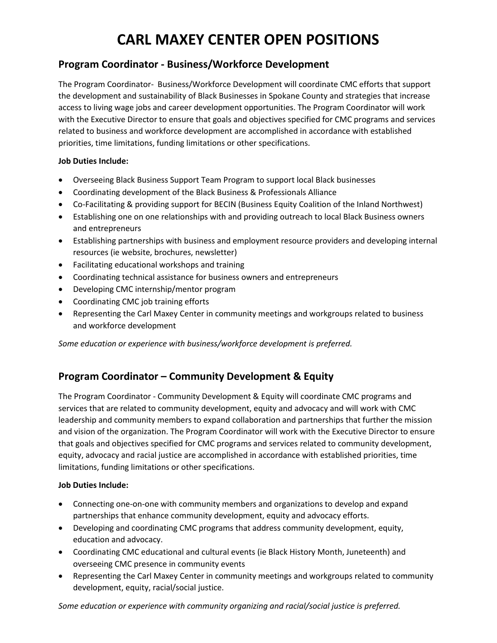# **CARL MAXEY CENTER OPEN POSITIONS**

### **Program Coordinator - Business/Workforce Development**

The Program Coordinator- Business/Workforce Development will coordinate CMC efforts that support the development and sustainability of Black Businesses in Spokane County and strategies that increase access to living wage jobs and career development opportunities. The Program Coordinator will work with the Executive Director to ensure that goals and objectives specified for CMC programs and services related to business and workforce development are accomplished in accordance with established priorities, time limitations, funding limitations or other specifications.

#### **Job Duties Include:**

- Overseeing Black Business Support Team Program to support local Black businesses
- Coordinating development of the Black Business & Professionals Alliance
- Co-Facilitating & providing support for BECIN (Business Equity Coalition of the Inland Northwest)
- Establishing one on one relationships with and providing outreach to local Black Business owners and entrepreneurs
- Establishing partnerships with business and employment resource providers and developing internal resources (ie website, brochures, newsletter)
- Facilitating educational workshops and training
- Coordinating technical assistance for business owners and entrepreneurs
- Developing CMC internship/mentor program
- Coordinating CMC job training efforts
- Representing the Carl Maxey Center in community meetings and workgroups related to business and workforce development

*Some education or experience with business/workforce development is preferred.*

## **Program Coordinator – Community Development & Equity**

The Program Coordinator - Community Development & Equity will coordinate CMC programs and services that are related to community development, equity and advocacy and will work with CMC leadership and community members to expand collaboration and partnerships that further the mission and vision of the organization. The Program Coordinator will work with the Executive Director to ensure that goals and objectives specified for CMC programs and services related to community development, equity, advocacy and racial justice are accomplished in accordance with established priorities, time limitations, funding limitations or other specifications.

#### **Job Duties Include:**

- Connecting one-on-one with community members and organizations to develop and expand partnerships that enhance community development, equity and advocacy efforts.
- Developing and coordinating CMC programs that address community development, equity, education and advocacy.
- Coordinating CMC educational and cultural events (ie Black History Month, Juneteenth) and overseeing CMC presence in community events
- Representing the Carl Maxey Center in community meetings and workgroups related to community development, equity, racial/social justice.

*Some education or experience with community organizing and racial/social justice is preferred.*